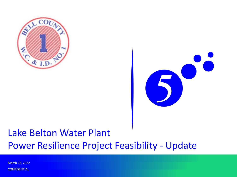



#### Lake Belton Water Plant Power Resilience Project Feasibility - Update

**CONFIDENTIAL** March 22, 2022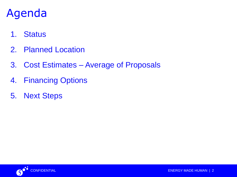## Agenda

- 1. Status
- 2. Planned Location
- 3. Cost Estimates Average of Proposals
- 4. Financing Options
- 5. Next Steps

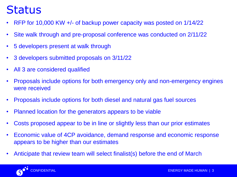### **Status**

- RFP for 10,000 KW +/- of backup power capacity was posted on 1/14/22
- Site walk through and pre-proposal conference was conducted on 2/11/22
- 5 developers present at walk through
- 3 developers submitted proposals on 3/11/22
- All 3 are considered qualified
- Proposals include options for both emergency only and non-emergency engines were received
- Proposals include options for both diesel and natural gas fuel sources
- Planned location for the generators appears to be viable
- Costs proposed appear to be in line or slightly less than our prior estimates
- Economic value of 4CP avoidance, demand response and economic response appears to be higher than our estimates
- Anticipate that review team will select finalist(s) before the end of March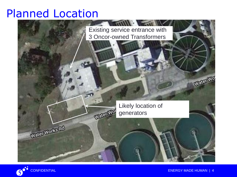#### Planned Location



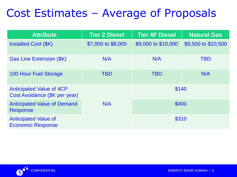## Cost Estimates – Average of Proposals

| <b>Attribute</b>                                                 | <b>Tier 2 Diesel</b> | <b>Tier 4F Diesel</b> | <b>Natural Gas</b>  |
|------------------------------------------------------------------|----------------------|-----------------------|---------------------|
| Installed Cost (\$K)                                             | \$7,000 to \$8,000   | \$9,000 to \$10,000   | \$9,500 to \$10,500 |
| <b>Gas Line Extension (\$K)</b>                                  | N/A                  | N/A                   | <b>TBD</b>          |
| <b>100 Hour Fuel Storage</b>                                     | <b>TBD</b>           | <b>TBD</b>            | N/A                 |
| <b>Anticipated Value of 4CP</b><br>Cost Avoidance (\$K per year) |                      | \$140                 |                     |
| <b>Anticipated Value of Demand</b><br><b>Response</b>            | N/A                  | \$400<br>\$310        |                     |
| <b>Anticipated Value of</b><br><b>Economic Response</b>          |                      |                       |                     |

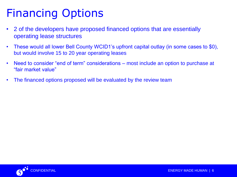# Financing Options

- 2 of the developers have proposed financed options that are essentially operating lease structures
- These would all lower Bell County WCID1's upfront capital outlay (in some cases to \$0), but would involve 15 to 20 year operating leases
- Need to consider "end of term" considerations most include an option to purchase at "fair market value"
- The financed options proposed will be evaluated by the review team

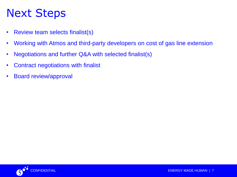## Next Steps

- Review team selects finalist(s)
- Working with Atmos and third-party developers on cost of gas line extension
- Negotiations and further Q&A with selected finalist(s)
- Contract negotiations with finalist
- Board review/approval